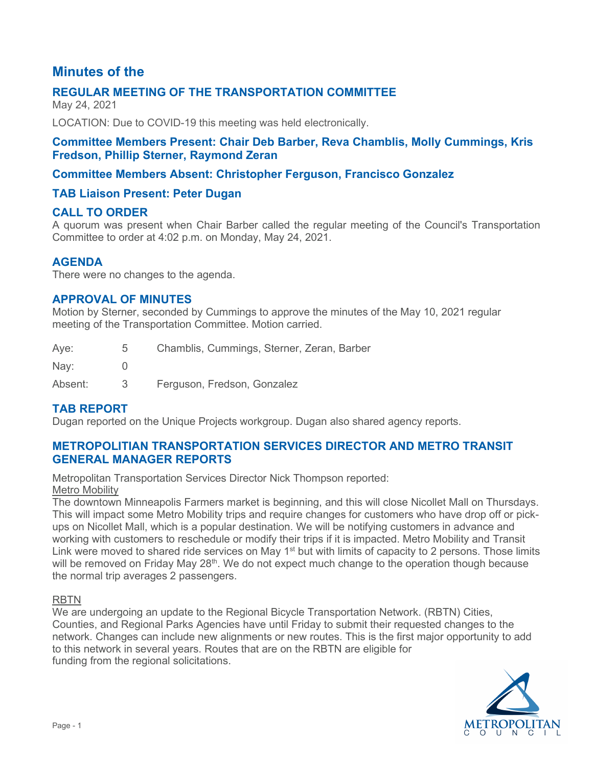# **Minutes of the**

# **REGULAR MEETING OF THE TRANSPORTATION COMMITTEE**

May 24, 2021

LOCATION: Due to COVID-19 this meeting was held electronically.

### **Committee Members Present: Chair Deb Barber, Reva Chamblis, Molly Cummings, Kris Fredson, Phillip Sterner, Raymond Zeran**

# **Committee Members Absent: Christopher Ferguson, Francisco Gonzalez**

# **TAB Liaison Present: Peter Dugan**

## **CALL TO ORDER**

A quorum was present when Chair Barber called the regular meeting of the Council's Transportation Committee to order at 4:02 p.m. on Monday, May 24, 2021.

## **AGENDA**

There were no changes to the agenda.

### **APPROVAL OF MINUTES**

Motion by Sterner, seconded by Cummings to approve the minutes of the May 10, 2021 regular meeting of the Transportation Committee. Motion carried.

| Aye:    | $5 -$ | Chamblis, Cummings, Sterner, Zeran, Barber |
|---------|-------|--------------------------------------------|
| Nay:    |       |                                            |
| Absent: | - 3-  | Ferguson, Fredson, Gonzalez                |

## **TAB REPORT**

Dugan reported on the Unique Projects workgroup. Dugan also shared agency reports.

## **METROPOLITIAN TRANSPORTATION SERVICES DIRECTOR AND METRO TRANSIT GENERAL MANAGER REPORTS**

Metropolitan Transportation Services Director Nick Thompson reported: Metro Mobility

The downtown Minneapolis Farmers market is beginning, and this will close Nicollet Mall on Thursdays. This will impact some Metro Mobility trips and require changes for customers who have drop off or pickups on Nicollet Mall, which is a popular destination. We will be notifying customers in advance and working with customers to reschedule or modify their trips if it is impacted. Metro Mobility and Transit Link were moved to shared ride services on May 1<sup>st</sup> but with limits of capacity to 2 persons. Those limits will be removed on Friday May 28<sup>th</sup>. We do not expect much change to the operation though because the normal trip averages 2 passengers.

#### RBTN

We are undergoing an update to the Regional Bicycle Transportation Network. (RBTN) Cities, Counties, and Regional Parks Agencies have until Friday to submit their requested changes to the network. Changes can include new alignments or new routes. This is the first major opportunity to add to this network in several years. Routes that are on the RBTN are eligible for funding from the regional solicitations.

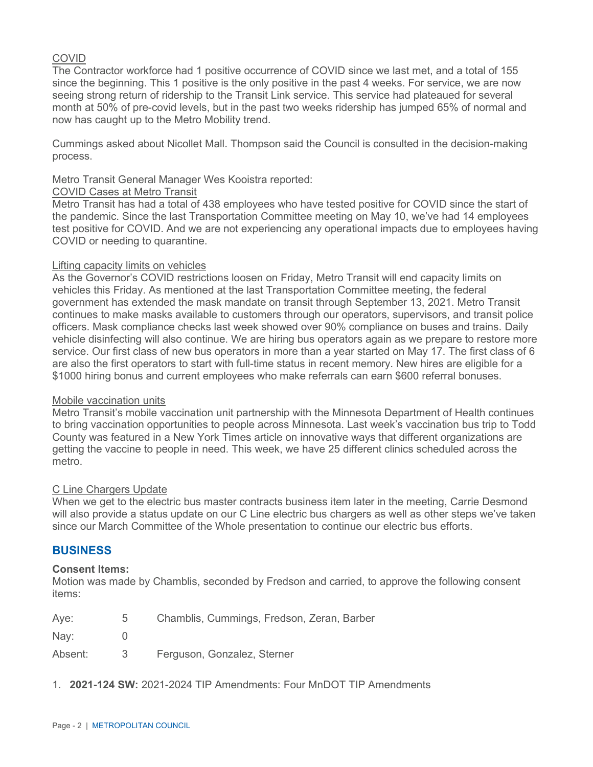### COVID

The Contractor workforce had 1 positive occurrence of COVID since we last met, and a total of 155 since the beginning. This 1 positive is the only positive in the past 4 weeks. For service, we are now seeing strong return of ridership to the Transit Link service. This service had plateaued for several month at 50% of pre-covid levels, but in the past two weeks ridership has jumped 65% of normal and now has caught up to the Metro Mobility trend.

Cummings asked about Nicollet Mall. Thompson said the Council is consulted in the decision-making process.

Metro Transit General Manager Wes Kooistra reported:

#### COVID Cases at Metro Transit

Metro Transit has had a total of 438 employees who have tested positive for COVID since the start of the pandemic. Since the last Transportation Committee meeting on May 10, we've had 14 employees test positive for COVID. And we are not experiencing any operational impacts due to employees having COVID or needing to quarantine.

#### Lifting capacity limits on vehicles

As the Governor's COVID restrictions loosen on Friday, Metro Transit will end capacity limits on vehicles this Friday. As mentioned at the last Transportation Committee meeting, the federal government has extended the mask mandate on transit through September 13, 2021. Metro Transit continues to make masks available to customers through our operators, supervisors, and transit police officers. Mask compliance checks last week showed over 90% compliance on buses and trains. Daily vehicle disinfecting will also continue. We are hiring bus operators again as we prepare to restore more service. Our first class of new bus operators in more than a year started on May 17. The first class of 6 are also the first operators to start with full-time status in recent memory. New hires are eligible for a \$1000 hiring bonus and current employees who make referrals can earn \$600 referral bonuses.

#### Mobile vaccination units

Metro Transit's mobile vaccination unit partnership with the Minnesota Department of Health continues to bring vaccination opportunities to people across Minnesota. Last week's vaccination bus trip to Todd County was featured in a New York Times article on innovative ways that different organizations are getting the vaccine to people in need. This week, we have 25 different clinics scheduled across the metro.

#### C Line Chargers Update

When we get to the electric bus master contracts business item later in the meeting, Carrie Desmond will also provide a status update on our C Line electric bus chargers as well as other steps we've taken since our March Committee of the Whole presentation to continue our electric bus efforts.

#### **BUSINESS**

#### **Consent Items:**

Motion was made by Chamblis, seconded by Fredson and carried, to approve the following consent items:

| Aye: | Chamblis, Cummings, Fredson, Zeran, Barber |
|------|--------------------------------------------|
| Nay: |                                            |

Absent: 3 Ferguson, Gonzalez, Sterner

1. **2021-124 SW:** 2021-2024 TIP Amendments: Four MnDOT TIP Amendments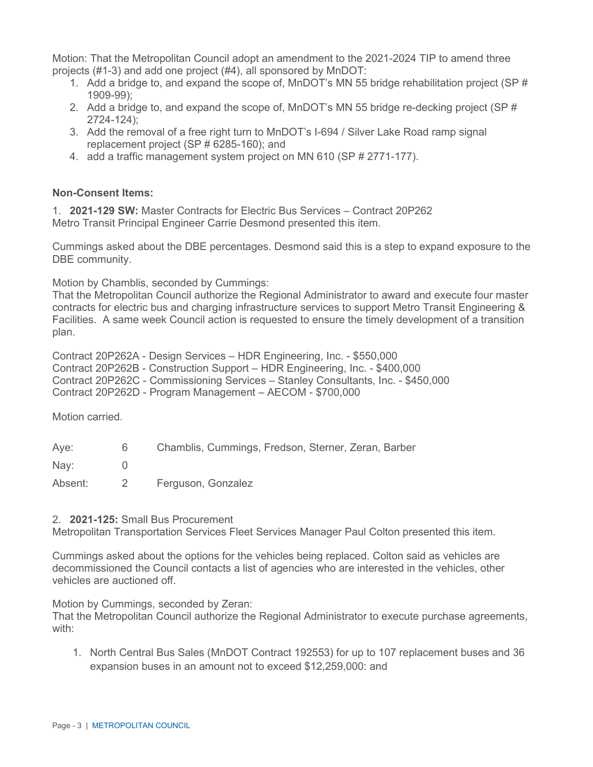Motion: That the Metropolitan Council adopt an amendment to the 2021-2024 TIP to amend three projects (#1-3) and add one project (#4), all sponsored by MnDOT:

- 1. Add a bridge to, and expand the scope of, MnDOT's MN 55 bridge rehabilitation project (SP # 1909-99);
- 2. Add a bridge to, and expand the scope of, MnDOT's MN 55 bridge re-decking project (SP # 2724-124);
- 3. Add the removal of a free right turn to MnDOT's I-694 / Silver Lake Road ramp signal replacement project (SP # 6285-160); and
- 4. add a traffic management system project on MN 610 (SP # 2771-177).

#### **Non-Consent Items:**

1. **2021-129 SW:** Master Contracts for Electric Bus Services – Contract 20P262 Metro Transit Principal Engineer Carrie Desmond presented this item.

Cummings asked about the DBE percentages. Desmond said this is a step to expand exposure to the DBE community.

Motion by Chamblis, seconded by Cummings:

That the Metropolitan Council authorize the Regional Administrator to award and execute four master contracts for electric bus and charging infrastructure services to support Metro Transit Engineering & Facilities. A same week Council action is requested to ensure the timely development of a transition plan.

Contract 20P262A - Design Services – HDR Engineering, Inc. - \$550,000 Contract 20P262B - Construction Support – HDR Engineering, Inc. - \$400,000 Contract 20P262C - Commissioning Services – Stanley Consultants, Inc. - \$450,000 Contract 20P262D - Program Management – AECOM - \$700,000

Motion carried.

| Aye:    | 6 | Chamblis, Cummings, Fredson, Sterner, Zeran, Barber |
|---------|---|-----------------------------------------------------|
| Nay:    |   |                                                     |
| Absent: |   | Ferguson, Gonzalez                                  |

#### 2. **2021-125:** Small Bus Procurement

Metropolitan Transportation Services Fleet Services Manager Paul Colton presented this item.

Cummings asked about the options for the vehicles being replaced. Colton said as vehicles are decommissioned the Council contacts a list of agencies who are interested in the vehicles, other vehicles are auctioned off.

Motion by Cummings, seconded by Zeran:

That the Metropolitan Council authorize the Regional Administrator to execute purchase agreements, with:

1. North Central Bus Sales (MnDOT Contract 192553) for up to 107 replacement buses and 36 expansion buses in an amount not to exceed \$12,259,000: and